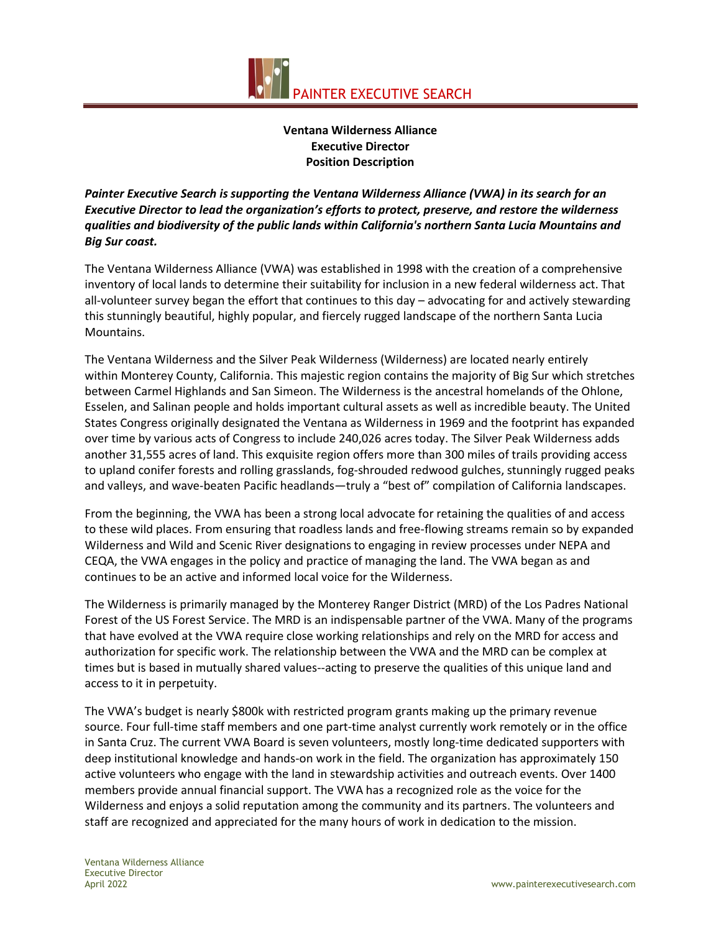

# **Ventana Wilderness Alliance Executive Director Position Description**

*Painter Executive Search is supporting the Ventana Wilderness Alliance (VWA) in its search for an Executive Director to lead the organization's efforts to protect, preserve, and restore the wilderness qualities and biodiversity of the public lands within California's northern Santa Lucia Mountains and Big Sur coast.*

The Ventana Wilderness Alliance (VWA) was established in 1998 with the creation of a comprehensive inventory of local lands to determine their suitability for inclusion in a new federal wilderness act. That all-volunteer survey began the effort that continues to this day – advocating for and actively stewarding this stunningly beautiful, highly popular, and fiercely rugged landscape of the northern Santa Lucia Mountains.

The Ventana Wilderness and the Silver Peak Wilderness (Wilderness) are located nearly entirely within Monterey County, California. This majestic region contains the majority of Big Sur which stretches between Carmel Highlands and San Simeon. The Wilderness is the ancestral homelands of the Ohlone, Esselen, and Salinan people and holds important cultural assets as well as incredible beauty. The United States Congress originally designated the Ventana as Wilderness in 1969 and the footprint has expanded over time by various acts of Congress to include 240,026 acres today. The Silver Peak Wilderness adds another 31,555 acres of land. This exquisite region offers more than 300 miles of trails providing access to upland conifer forests and rolling grasslands, fog-shrouded redwood gulches, stunningly rugged peaks and valleys, and wave-beaten Pacific headlands—truly a "best of" compilation of California landscapes.

From the beginning, the VWA has been a strong local advocate for retaining the qualities of and access to these wild places. From ensuring that roadless lands and free-flowing streams remain so by expanded Wilderness and Wild and Scenic River designations to engaging in review processes under NEPA and CEQA, the VWA engages in the policy and practice of managing the land. The VWA began as and continues to be an active and informed local voice for the Wilderness.

The Wilderness is primarily managed by the Monterey Ranger District (MRD) of the Los Padres National Forest of the US Forest Service. The MRD is an indispensable partner of the VWA. Many of the programs that have evolved at the VWA require close working relationships and rely on the MRD for access and authorization for specific work. The relationship between the VWA and the MRD can be complex at times but is based in mutually shared values--acting to preserve the qualities of this unique land and access to it in perpetuity.

The VWA's budget is nearly \$800k with restricted program grants making up the primary revenue source. Four full-time staff members and one part-time analyst currently work remotely or in the office in Santa Cruz. The current VWA Board is seven volunteers, mostly long-time dedicated supporters with deep institutional knowledge and hands-on work in the field. The organization has approximately 150 active volunteers who engage with the land in stewardship activities and outreach events. Over 1400 members provide annual financial support. The VWA has a recognized role as the voice for the Wilderness and enjoys a solid reputation among the community and its partners. The volunteers and staff are recognized and appreciated for the many hours of work in dedication to the mission.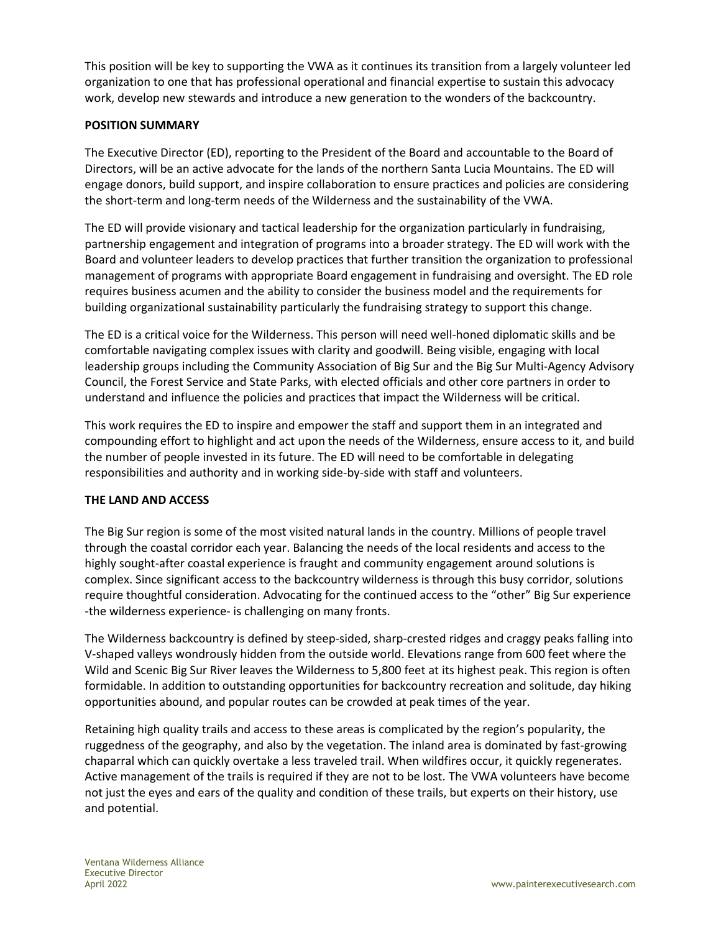This position will be key to supporting the VWA as it continues its transition from a largely volunteer led organization to one that has professional operational and financial expertise to sustain this advocacy work, develop new stewards and introduce a new generation to the wonders of the backcountry.

# **POSITION SUMMARY**

The Executive Director (ED), reporting to the President of the Board and accountable to the Board of Directors, will be an active advocate for the lands of the northern Santa Lucia Mountains. The ED will engage donors, build support, and inspire collaboration to ensure practices and policies are considering the short-term and long-term needs of the Wilderness and the sustainability of the VWA.

The ED will provide visionary and tactical leadership for the organization particularly in fundraising, partnership engagement and integration of programs into a broader strategy. The ED will work with the Board and volunteer leaders to develop practices that further transition the organization to professional management of programs with appropriate Board engagement in fundraising and oversight. The ED role requires business acumen and the ability to consider the business model and the requirements for building organizational sustainability particularly the fundraising strategy to support this change.

The ED is a critical voice for the Wilderness. This person will need well-honed diplomatic skills and be comfortable navigating complex issues with clarity and goodwill. Being visible, engaging with local leadership groups including the Community Association of Big Sur and the Big Sur Multi-Agency Advisory Council, the Forest Service and State Parks, with elected officials and other core partners in order to understand and influence the policies and practices that impact the Wilderness will be critical.

This work requires the ED to inspire and empower the staff and support them in an integrated and compounding effort to highlight and act upon the needs of the Wilderness, ensure access to it, and build the number of people invested in its future. The ED will need to be comfortable in delegating responsibilities and authority and in working side-by-side with staff and volunteers.

## **THE LAND AND ACCESS**

The Big Sur region is some of the most visited natural lands in the country. Millions of people travel through the coastal corridor each year. Balancing the needs of the local residents and access to the highly sought-after coastal experience is fraught and community engagement around solutions is complex. Since significant access to the backcountry wilderness is through this busy corridor, solutions require thoughtful consideration. Advocating for the continued access to the "other" Big Sur experience -the wilderness experience- is challenging on many fronts.

The Wilderness backcountry is defined by steep-sided, sharp-crested ridges and craggy peaks falling into V-shaped valleys wondrously hidden from the outside world. Elevations range from 600 feet where the Wild and Scenic Big Sur River leaves the Wilderness to 5,800 feet at its highest peak. This region is often formidable. In addition to outstanding opportunities for backcountry recreation and solitude, day hiking opportunities abound, and popular routes can be crowded at peak times of the year.

Retaining high quality trails and access to these areas is complicated by the region's popularity, the ruggedness of the geography, and also by the vegetation. The inland area is dominated by fast-growing chaparral which can quickly overtake a less traveled trail. When wildfires occur, it quickly regenerates. Active management of the trails is required if they are not to be lost. The VWA volunteers have become not just the eyes and ears of the quality and condition of these trails, but experts on their history, use and potential.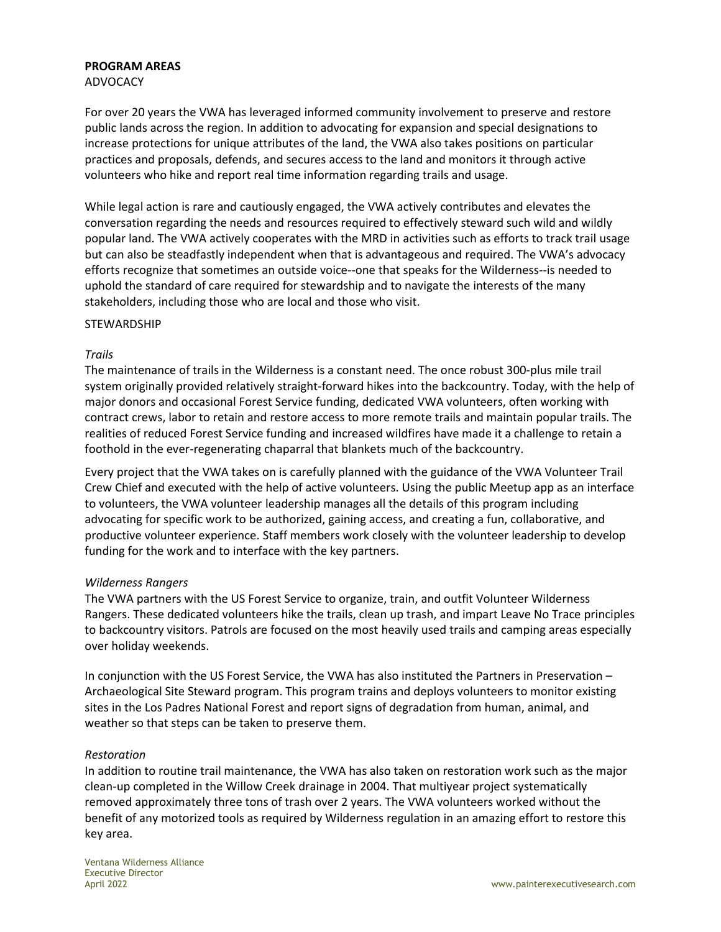### **PROGRAM AREAS**

ADVOCACY

For over 20 years the VWA has leveraged informed community involvement to preserve and restore public lands across the region. In addition to advocating for expansion and special designations to increase protections for unique attributes of the land, the VWA also takes positions on particular practices and proposals, defends, and secures access to the land and monitors it through active volunteers who hike and report real time information regarding trails and usage.

While legal action is rare and cautiously engaged, the VWA actively contributes and elevates the conversation regarding the needs and resources required to effectively steward such wild and wildly popular land. The VWA actively cooperates with the MRD in activities such as efforts to track trail usage but can also be steadfastly independent when that is advantageous and required. The VWA's advocacy efforts recognize that sometimes an outside voice--one that speaks for the Wilderness--is needed to uphold the standard of care required for stewardship and to navigate the interests of the many stakeholders, including those who are local and those who visit.

### **STEWARDSHIP**

### *Trails*

The maintenance of trails in the Wilderness is a constant need. The once robust 300-plus mile trail system originally provided relatively straight-forward hikes into the backcountry. Today, with the help of major donors and occasional Forest Service funding, dedicated VWA volunteers, often working with contract crews, labor to retain and restore access to more remote trails and maintain popular trails. The realities of reduced Forest Service funding and increased wildfires have made it a challenge to retain a foothold in the ever-regenerating chaparral that blankets much of the backcountry.

Every project that the VWA takes on is carefully planned with the guidance of the VWA Volunteer Trail Crew Chief and executed with the help of active volunteers. Using the public Meetup app as an interface to volunteers, the VWA volunteer leadership manages all the details of this program including advocating for specific work to be authorized, gaining access, and creating a fun, collaborative, and productive volunteer experience. Staff members work closely with the volunteer leadership to develop funding for the work and to interface with the key partners.

#### *Wilderness Rangers*

The VWA partners with the US Forest Service to organize, train, and outfit Volunteer Wilderness Rangers. These dedicated volunteers hike the trails, clean up trash, and impart [Leave No Trace](https://www.ventanawild.org/plan-a-trip/leave-no-trace) principles to backcountry visitors. Patrols are focused on the most heavily used trails and camping areas especially over holiday weekends.

In conjunction with the US Forest Service, the VWA has also instituted the Partners in Preservation – Archaeological Site Steward program. This program trains and deploys volunteers to monitor existing sites in the Los Padres National Forest and report signs of degradation from human, animal, and weather so that steps can be taken to preserve them.

## *Restoration*

In addition to routine trail maintenance, the VWA has also taken on restoration work such as the major clean-up completed in the [Willow Creek](https://www.ventanawild.org/stewardship/success-story-willow-creek-restoration) drainage in 2004. That multiyear project systematically removed approximately three tons of trash over 2 years. The VWA volunteers worked without the benefit of any motorized tools as required by Wilderness regulation in an amazing effort to restore this key area.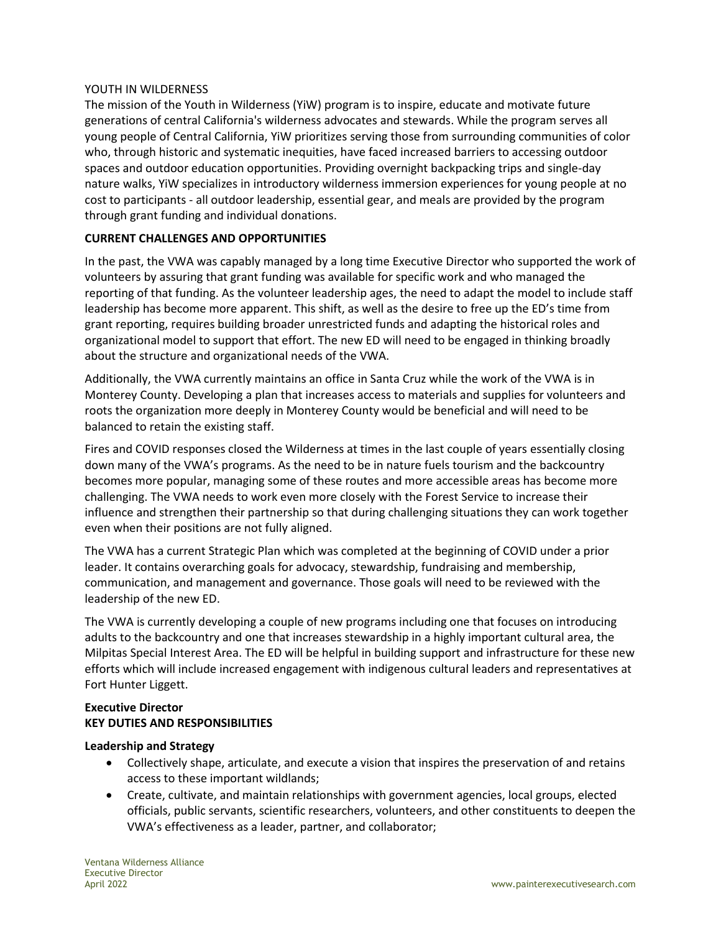### YOUTH IN WILDERNESS

The mission of the Youth in Wilderness (YiW) program is to inspire, educate and motivate future generations of central California's wilderness advocates and stewards. While the program serves all young people of Central California, YiW prioritizes serving those from surrounding communities of color who, through historic and systematic inequities, have faced increased barriers to accessing outdoor spaces and outdoor education opportunities. Providing overnight backpacking trips and single-day nature walks, YiW specializes in introductory wilderness immersion experiences for young people at no cost to participants - all outdoor leadership, essential gear, and meals are provided by the program through grant funding and individual donations.

## **CURRENT CHALLENGES AND OPPORTUNITIES**

In the past, the VWA was capably managed by a long time Executive Director who supported the work of volunteers by assuring that grant funding was available for specific work and who managed the reporting of that funding. As the volunteer leadership ages, the need to adapt the model to include staff leadership has become more apparent. This shift, as well as the desire to free up the ED's time from grant reporting, requires building broader unrestricted funds and adapting the historical roles and organizational model to support that effort. The new ED will need to be engaged in thinking broadly about the structure and organizational needs of the VWA.

Additionally, the VWA currently maintains an office in Santa Cruz while the work of the VWA is in Monterey County. Developing a plan that increases access to materials and supplies for volunteers and roots the organization more deeply in Monterey County would be beneficial and will need to be balanced to retain the existing staff.

Fires and COVID responses closed the Wilderness at times in the last couple of years essentially closing down many of the VWA's programs. As the need to be in nature fuels tourism and the backcountry becomes more popular, managing some of these routes and more accessible areas has become more challenging. The VWA needs to work even more closely with the Forest Service to increase their influence and strengthen their partnership so that during challenging situations they can work together even when their positions are not fully aligned.

The VWA has a current Strategic Plan which was completed at the beginning of COVID under a prior leader. It contains overarching goals for advocacy, stewardship, fundraising and membership, communication, and management and governance. Those goals will need to be reviewed with the leadership of the new ED.

The VWA is currently developing a couple of new programs including one that focuses on introducing adults to the backcountry and one that increases stewardship in a highly important cultural area, the Milpitas Special Interest Area. The ED will be helpful in building support and infrastructure for these new efforts which will include increased engagement with indigenous cultural leaders and representatives at Fort Hunter Liggett.

### **Executive Director KEY DUTIES AND RESPONSIBILITIES**

#### **Leadership and Strategy**

- Collectively shape, articulate, and execute a vision that inspires the preservation of and retains access to these important wildlands;
- Create, cultivate, and maintain relationships with government agencies, local groups, elected officials, public servants, scientific researchers, volunteers, and other constituents to deepen the VWA's effectiveness as a leader, partner, and collaborator;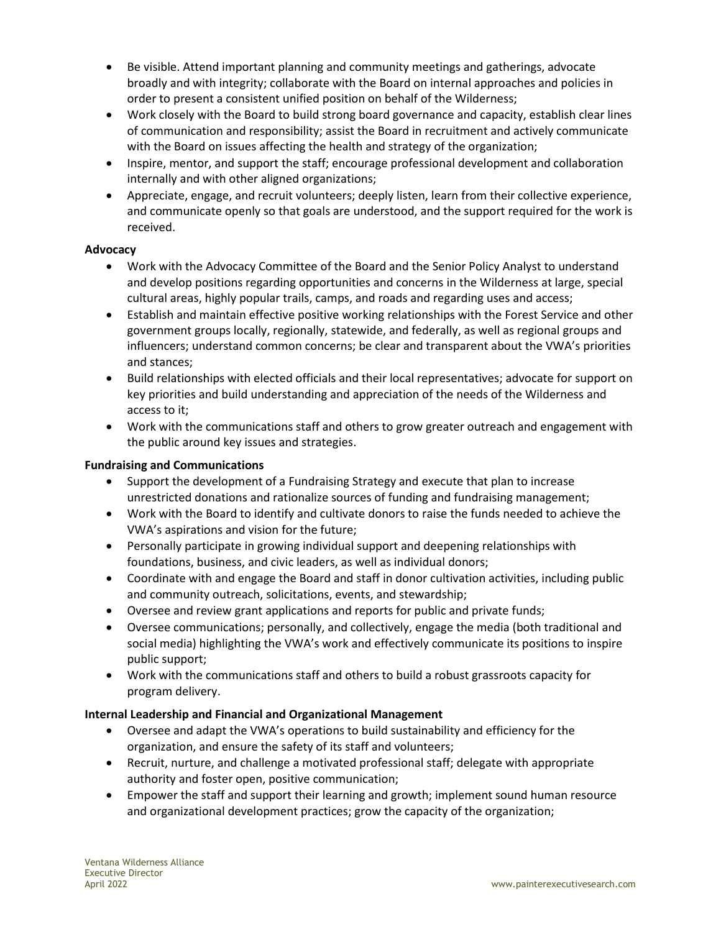- Be visible. Attend important planning and community meetings and gatherings, advocate broadly and with integrity; collaborate with the Board on internal approaches and policies in order to present a consistent unified position on behalf of the Wilderness;
- Work closely with the Board to build strong board governance and capacity, establish clear lines of communication and responsibility; assist the Board in recruitment and actively communicate with the Board on issues affecting the health and strategy of the organization;
- Inspire, mentor, and support the staff; encourage professional development and collaboration internally and with other aligned organizations;
- Appreciate, engage, and recruit volunteers; deeply listen, learn from their collective experience, and communicate openly so that goals are understood, and the support required for the work is received.

# **Advocacy**

- Work with the Advocacy Committee of the Board and the Senior Policy Analyst to understand and develop positions regarding opportunities and concerns in the Wilderness at large, special cultural areas, highly popular trails, camps, and roads and regarding uses and access;
- Establish and maintain effective positive working relationships with the Forest Service and other government groups locally, regionally, statewide, and federally, as well as regional groups and influencers; understand common concerns; be clear and transparent about the VWA's priorities and stances;
- Build relationships with elected officials and their local representatives; advocate for support on key priorities and build understanding and appreciation of the needs of the Wilderness and access to it;
- Work with the communications staff and others to grow greater outreach and engagement with the public around key issues and strategies.

# **Fundraising and Communications**

- Support the development of a Fundraising Strategy and execute that plan to increase unrestricted donations and rationalize sources of funding and fundraising management;
- Work with the Board to identify and cultivate donors to raise the funds needed to achieve the VWA's aspirations and vision for the future;
- Personally participate in growing individual support and deepening relationships with foundations, business, and civic leaders, as well as individual donors;
- Coordinate with and engage the Board and staff in donor cultivation activities, including public and community outreach, solicitations, events, and stewardship;
- Oversee and review grant applications and reports for public and private funds;
- Oversee communications; personally, and collectively, engage the media (both traditional and social media) highlighting the VWA's work and effectively communicate its positions to inspire public support;
- Work with the communications staff and others to build a robust grassroots capacity for program delivery.

# **Internal Leadership and Financial and Organizational Management**

- Oversee and adapt the VWA's operations to build sustainability and efficiency for the organization, and ensure the safety of its staff and volunteers;
- Recruit, nurture, and challenge a motivated professional staff; delegate with appropriate authority and foster open, positive communication;
- Empower the staff and support their learning and growth; implement sound human resource and organizational development practices; grow the capacity of the organization;